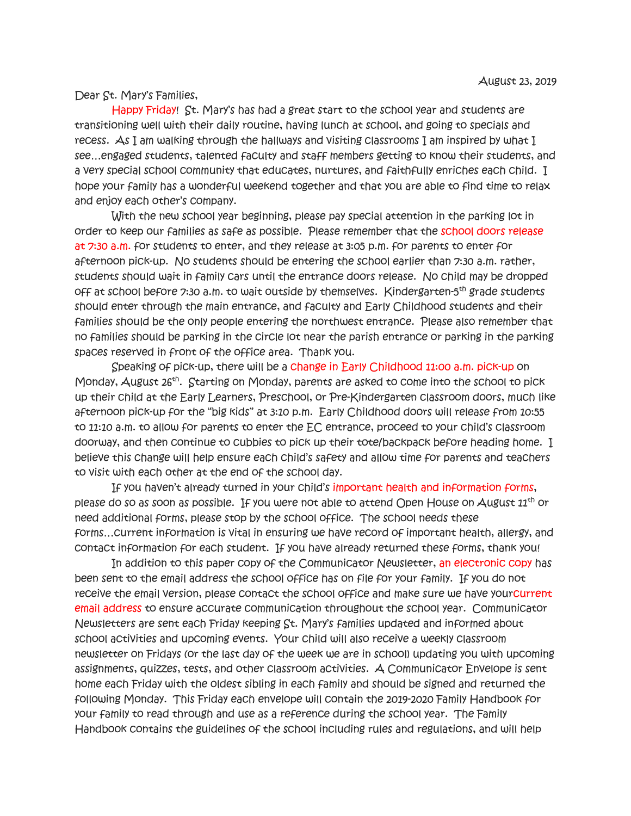Dear St. Mary's Families,

 Happy Friday! St. Mary's has had a great start to the school year and students are transitioning well with their daily routine, having lunch at school, and going to specials and recess. As I am walking through the hallways and visiting classrooms I am inspired by what I see…engaged students, talented faculty and staff members getting to know their students, and a very special school community that educates, nurtures, and faithfully enriches each child. I hope your family has a wonderful weekend together and that you are able to find time to relax and enjoy each other's company.

With the new school year beginning, please pay special attention in the parking lot in order to keep our families as safe as possible. Please remember that the school doors release at 7:30 a.m. for students to enter, and they release at 3:05 p.m. for parents to enter for afternoon pick-up. No students should be entering the school earlier than 7:30 a.m. rather, students should wait in family cars until the entrance doors release. No child may be dropped off at school before 7:30 a.m. to wait outside by themselves. Kindergarten-5th grade students should enter through the main entrance, and faculty and Early Childhood students and their families should be the only people entering the northwest entrance. Please also remember that no families should be parking in the circle lot near the parish entrance or parking in the parking spaces reserved in front of the office area. Thank you.

 Speaking of pick-up, there will be a change in Early Childhood 11:00 a.m. pick-up on Monday, August 26<sup>th</sup>. Starting on Monday, parents are asked to come into the school to pick up their child at the Early Learners, Preschool, or Pre-Kindergarten classroom doors, much like afternoon pick-up for the "big kids" at 3:10 p.m. Early Childhood doors will release from 10:55 to 11:10 a.m. to allow for parents to enter the EC entrance, proceed to your child's classroom doorway, and then continue to cubbies to pick up their tote/backpack before heading home. I believe this change will help ensure each child's safety and allow time for parents and teachers to visit with each other at the end of the school day.

 If you haven't already turned in your child's important health and information forms, please do so as soon as possible. If you were not able to attend Open House on August 11<sup>th</sup> or need additional forms, please stop by the school office. The school needs these forms…current information is vital in ensuring we have record of important health, allergy, and contact information for each student. If you have already returned these forms, thank you!

In addition to this paper copy of the Communicator Newsletter, an electronic copy has been sent to the email address the school office has on file for your family. If you do not receive the email version, please contact the school office and make sure we have yourcurrent email address to ensure accurate communication throughout the school year. Communicator Newsletters are sent each Friday keeping St. Mary's families updated and informed about school activities and upcoming events. Your child will also receive a weekly classroom newsletter on Fridays (or the last day of the week we are in school) updating you with upcoming assignments, quizzes, tests, and other classroom activities. A Communicator Envelope is sent home each Friday with the oldest sibling in each family and should be signed and returned the following Monday. This Friday each envelope will contain the 2019-2020 Family Handbook for your family to read through and use as a reference during the school year. The Family Handbook contains the guidelines of the school including rules and regulations, and will help